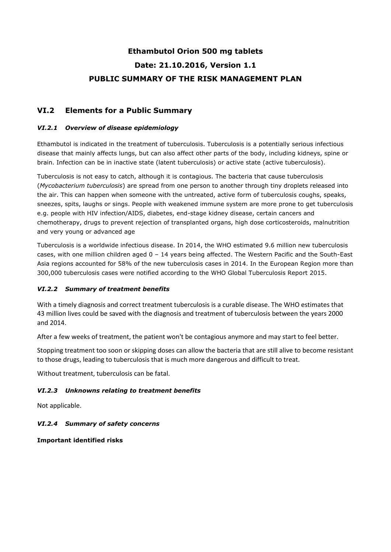# **Ethambutol Orion 500 mg tablets Date: 21.10.2016, Version 1.1 PUBLIC SUMMARY OF THE RISK MANAGEMENT PLAN**

## **VI.2 Elements for a Public Summary**

## *VI.2.1 Overview of disease epidemiology*

Ethambutol is indicated in the treatment of tuberculosis. Tuberculosis is a potentially serious infectious disease that mainly affects lungs, but can also affect other parts of the body, including kidneys, spine or brain. Infection can be in inactive state (latent tuberculosis) or active state (active tuberculosis).

Tuberculosis is not easy to catch, although it is contagious. The bacteria that cause tuberculosis (*Mycobacterium tuberculosis*) are spread from one person to another through tiny droplets released into the air. This can happen when someone with the untreated, active form of tuberculosis coughs, speaks, sneezes, spits, laughs or sings. People with weakened immune system are more prone to get tuberculosis e.g. people with HIV infection/AIDS, diabetes, end-stage kidney disease, certain cancers and chemotherapy, drugs to prevent rejection of transplanted organs, high dose corticosteroids, malnutrition and very young or advanced age

Tuberculosis is a worldwide infectious disease. In 2014, the WHO estimated 9.6 million new tuberculosis cases, with one million children aged 0 – 14 years being affected. The Western Pacific and the South-East Asia regions accounted for 58% of the new tuberculosis cases in 2014. In the European Region more than 300,000 tuberculosis cases were notified according to the WHO Global Tuberculosis Report 2015.

## *VI.2.2 Summary of treatment benefits*

With a timely diagnosis and correct treatment tuberculosis is a curable disease. The WHO estimates that 43 million lives could be saved with the diagnosis and treatment of tuberculosis between the years 2000 and 2014.

After a few weeks of treatment, the patient won't be contagious anymore and may start to feel better.

Stopping treatment too soon or skipping doses can allow the bacteria that are still alive to become resistant to those drugs, leading to tuberculosis that is much more dangerous and difficult to treat.

Without treatment, tuberculosis can be fatal.

## *VI.2.3 Unknowns relating to treatment benefits*

Not applicable.

## *VI.2.4 Summary of safety concerns*

**Important identified risks**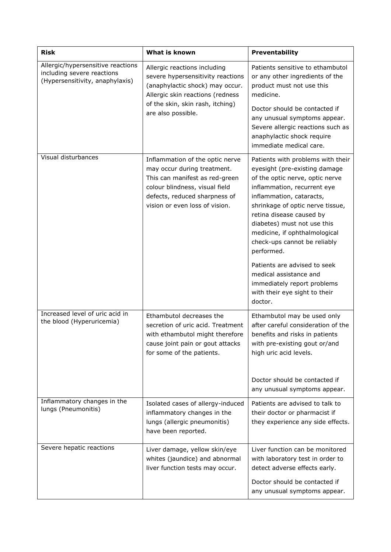| <b>Risk</b>                                                                                        | What is known                                                                                                                                                                                         | Preventability                                                                                                                                                                                                                                                                                                                                 |
|----------------------------------------------------------------------------------------------------|-------------------------------------------------------------------------------------------------------------------------------------------------------------------------------------------------------|------------------------------------------------------------------------------------------------------------------------------------------------------------------------------------------------------------------------------------------------------------------------------------------------------------------------------------------------|
| Allergic/hypersensitive reactions<br>including severe reactions<br>(Hypersensitivity, anaphylaxis) | Allergic reactions including<br>severe hypersensitivity reactions<br>(anaphylactic shock) may occur.<br>Allergic skin reactions (redness<br>of the skin, skin rash, itching)<br>are also possible.    | Patients sensitive to ethambutol<br>or any other ingredients of the<br>product must not use this<br>medicine.                                                                                                                                                                                                                                  |
|                                                                                                    |                                                                                                                                                                                                       | Doctor should be contacted if<br>any unusual symptoms appear.<br>Severe allergic reactions such as<br>anaphylactic shock require<br>immediate medical care.                                                                                                                                                                                    |
| Visual disturbances                                                                                | Inflammation of the optic nerve<br>may occur during treatment.<br>This can manifest as red-green<br>colour blindness, visual field<br>defects, reduced sharpness of<br>vision or even loss of vision. | Patients with problems with their<br>eyesight (pre-existing damage<br>of the optic nerve, optic nerve<br>inflammation, recurrent eye<br>inflammation, cataracts,<br>shrinkage of optic nerve tissue,<br>retina disease caused by<br>diabetes) must not use this<br>medicine, if ophthalmological<br>check-ups cannot be reliably<br>performed. |
|                                                                                                    |                                                                                                                                                                                                       | Patients are advised to seek<br>medical assistance and<br>immediately report problems<br>with their eye sight to their<br>doctor.                                                                                                                                                                                                              |
| Increased level of uric acid in<br>the blood (Hyperuricemia)                                       | Ethambutol decreases the<br>secretion of uric acid. Treatment<br>with ethambutol might therefore<br>cause joint pain or gout attacks<br>for some of the patients.                                     | Ethambutol may be used only<br>after careful consideration of the<br>benefits and risks in patients<br>with pre-existing gout or/and<br>high uric acid levels.                                                                                                                                                                                 |
|                                                                                                    |                                                                                                                                                                                                       | Doctor should be contacted if<br>any unusual symptoms appear.                                                                                                                                                                                                                                                                                  |
| Inflammatory changes in the<br>lungs (Pneumonitis)                                                 | Isolated cases of allergy-induced<br>inflammatory changes in the<br>lungs (allergic pneumonitis)<br>have been reported.                                                                               | Patients are advised to talk to<br>their doctor or pharmacist if<br>they experience any side effects.                                                                                                                                                                                                                                          |
| Severe hepatic reactions                                                                           | Liver damage, yellow skin/eye<br>whites (jaundice) and abnormal<br>liver function tests may occur.                                                                                                    | Liver function can be monitored<br>with laboratory test in order to<br>detect adverse effects early.<br>Doctor should be contacted if<br>any unusual symptoms appear.                                                                                                                                                                          |
|                                                                                                    |                                                                                                                                                                                                       |                                                                                                                                                                                                                                                                                                                                                |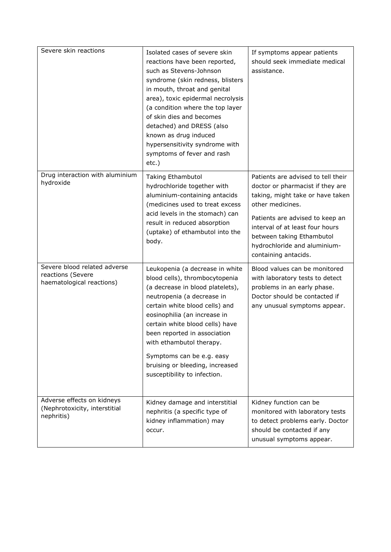| Severe skin reactions                                                          | Isolated cases of severe skin<br>reactions have been reported,<br>such as Stevens-Johnson<br>syndrome (skin redness, blisters<br>in mouth, throat and genital<br>area), toxic epidermal necrolysis<br>(a condition where the top layer<br>of skin dies and becomes<br>detached) and DRESS (also<br>known as drug induced<br>hypersensitivity syndrome with<br>symptoms of fever and rash<br>etc.)    | If symptoms appear patients<br>should seek immediate medical<br>assistance.                                                                                                                                                                                                               |
|--------------------------------------------------------------------------------|------------------------------------------------------------------------------------------------------------------------------------------------------------------------------------------------------------------------------------------------------------------------------------------------------------------------------------------------------------------------------------------------------|-------------------------------------------------------------------------------------------------------------------------------------------------------------------------------------------------------------------------------------------------------------------------------------------|
| Drug interaction with aluminium<br>hydroxide                                   | Taking Ethambutol<br>hydrochloride together with<br>aluminium-containing antacids<br>(medicines used to treat excess<br>acid levels in the stomach) can<br>result in reduced absorption<br>(uptake) of ethambutol into the<br>body.                                                                                                                                                                  | Patients are advised to tell their<br>doctor or pharmacist if they are<br>taking, might take or have taken<br>other medicines.<br>Patients are advised to keep an<br>interval of at least four hours<br>between taking Ethambutol<br>hydrochloride and aluminium-<br>containing antacids. |
| Severe blood related adverse<br>reactions (Severe<br>haematological reactions) | Leukopenia (a decrease in white<br>blood cells), thrombocytopenia<br>(a decrease in blood platelets),<br>neutropenia (a decrease in<br>certain white blood cells) and<br>eosinophilia (an increase in<br>certain white blood cells) have<br>been reported in association<br>with ethambutol therapy.<br>Symptoms can be e.g. easy<br>bruising or bleeding, increased<br>susceptibility to infection. | Blood values can be monitored<br>with laboratory tests to detect<br>problems in an early phase.<br>Doctor should be contacted if<br>any unusual symptoms appear.                                                                                                                          |
| Adverse effects on kidneys<br>(Nephrotoxicity, interstitial<br>nephritis)      | Kidney damage and interstitial<br>nephritis (a specific type of<br>kidney inflammation) may<br>occur.                                                                                                                                                                                                                                                                                                | Kidney function can be<br>monitored with laboratory tests<br>to detect problems early. Doctor<br>should be contacted if any<br>unusual symptoms appear.                                                                                                                                   |